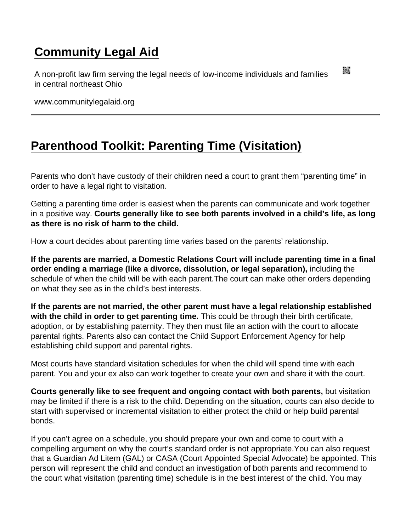## [Community Legal Aid](https://www.communitylegalaid.org/)

A non-profit law firm serving the legal needs of low-income individuals and families in central northeast Ohio

www.communitylegalaid.org

## [Parenthood Toolkit: Parenting Time \(Visitation\)](https://www.communitylegalaid.org/parenthood/toolkit/visitation)

Parents who don't have custody of their children need a court to grant them "parenting time" in order to have a legal right to visitation.

Getting a parenting time order is easiest when the parents can communicate and work together in a positive way. Courts generally like to see both parents involved in a child's life, as long as there is no risk of harm to the child.

How a court decides about parenting time varies based on the parents' relationship.

If the parents are married, a Domestic Relations Court will include parenting time in a final order ending a marriage (like a divorce, dissolution, or legal separation), including the schedule of when the child will be with each parent.The court can make other orders depending on what they see as in the child's best interests.

If the parents are not married, the other parent must have a legal relationship established with the child in order to get parenting time. This could be through their birth certificate, adoption, or by establishing paternity. They then must file an action with the court to allocate parental rights. Parents also can contact the Child Support Enforcement Agency for help establishing child support and parental rights.

Most courts have standard visitation schedules for when the child will spend time with each parent. You and your ex also can work together to create your own and share it with the court.

Courts generally like to see frequent and ongoing contact with both parents, but visitation may be limited if there is a risk to the child. Depending on the situation, courts can also decide to start with supervised or incremental visitation to either protect the child or help build parental bonds.

If you can't agree on a schedule, you should prepare your own and come to court with a compelling argument on why the court's standard order is not appropriate.You can also request that a Guardian Ad Litem (GAL) or CASA (Court Appointed Special Advocate) be appointed. This person will represent the child and conduct an investigation of both parents and recommend to the court what visitation (parenting time) schedule is in the best interest of the child. You may